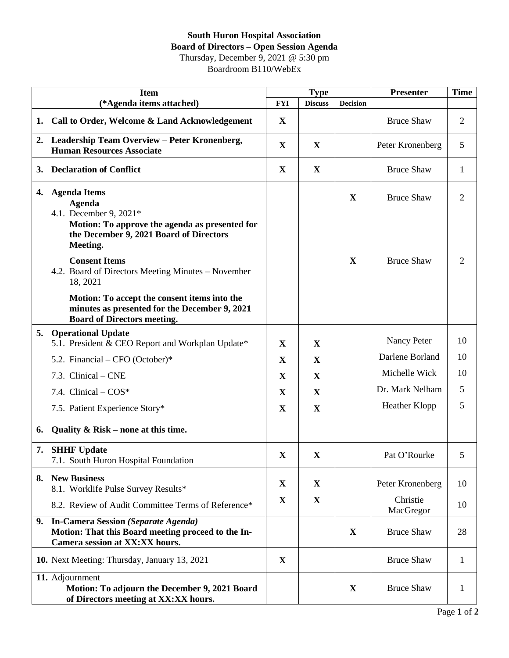## **South Huron Hospital Association Board of Directors – Open Session Agenda** Thursday, December 9, 2021 @ 5:30 pm

Boardroom B110/WebEx

|    | <b>Item</b>                                                                                                                                                             |              | <b>Type</b>    |                 | <b>Presenter</b>      | <b>Time</b>    |
|----|-------------------------------------------------------------------------------------------------------------------------------------------------------------------------|--------------|----------------|-----------------|-----------------------|----------------|
|    | (*Agenda items attached)                                                                                                                                                | <b>FYI</b>   | <b>Discuss</b> | <b>Decision</b> |                       |                |
| 1. | Call to Order, Welcome & Land Acknowledgement                                                                                                                           | X            |                |                 | <b>Bruce Shaw</b>     | 2              |
|    | 2. Leadership Team Overview - Peter Kronenberg,<br><b>Human Resources Associate</b>                                                                                     | $\mathbf X$  | $\mathbf{X}$   |                 | Peter Kronenberg      | 5              |
| 3. | <b>Declaration of Conflict</b>                                                                                                                                          | $\mathbf{X}$ | $\mathbf X$    |                 | <b>Bruce Shaw</b>     | 1              |
| 4. | <b>Agenda Items</b><br><b>Agenda</b><br>4.1. December 9, 2021*<br>Motion: To approve the agenda as presented for<br>the December 9, 2021 Board of Directors<br>Meeting. |              |                | $\mathbf{X}$    | <b>Bruce Shaw</b>     | $\overline{2}$ |
|    | <b>Consent Items</b><br>4.2. Board of Directors Meeting Minutes - November<br>18, 2021                                                                                  |              |                | $\mathbf X$     | <b>Bruce Shaw</b>     | 2              |
|    | Motion: To accept the consent items into the<br>minutes as presented for the December 9, 2021<br><b>Board of Directors meeting.</b>                                     |              |                |                 |                       |                |
| 5. | <b>Operational Update</b><br>5.1. President & CEO Report and Workplan Update*                                                                                           | X            | $\mathbf{X}$   |                 | Nancy Peter           | 10             |
|    | 5.2. Financial – CFO (October)*                                                                                                                                         | X            | X              |                 | Darlene Borland       | 10             |
|    | 7.3. Clinical – CNE                                                                                                                                                     | X            | X              |                 | Michelle Wick         | 10             |
|    | 7.4. Clinical - COS*                                                                                                                                                    | X            | $\mathbf X$    |                 | Dr. Mark Nelham       | 5              |
|    | 7.5. Patient Experience Story*                                                                                                                                          | X            | $\mathbf{X}$   |                 | Heather Klopp         | 5              |
| 6. | Quality & Risk – none at this time.                                                                                                                                     |              |                |                 |                       |                |
| 7. | <b>SHHF Update</b><br>7.1. South Huron Hospital Foundation                                                                                                              | X            | $\mathbf X$    |                 | Pat O'Rourke          | 5              |
|    | 8. New Business<br>8.1. Worklife Pulse Survey Results*                                                                                                                  | $\mathbf X$  | $\mathbf X$    |                 | Peter Kronenberg      | 10             |
|    | 8.2. Review of Audit Committee Terms of Reference*                                                                                                                      | $\mathbf X$  | $\mathbf X$    |                 | Christie<br>MacGregor | 10             |
|    | 9. In-Camera Session (Separate Agenda)<br>Motion: That this Board meeting proceed to the In-<br>Camera session at XX:XX hours.                                          |              |                | X               | <b>Bruce Shaw</b>     | 28             |
|    | 10. Next Meeting: Thursday, January 13, 2021                                                                                                                            | X            |                |                 | <b>Bruce Shaw</b>     | 1              |
|    | 11. Adjournment<br>Motion: To adjourn the December 9, 2021 Board<br>of Directors meeting at XX:XX hours.                                                                |              |                | $\mathbf{X}$    | <b>Bruce Shaw</b>     | 1              |